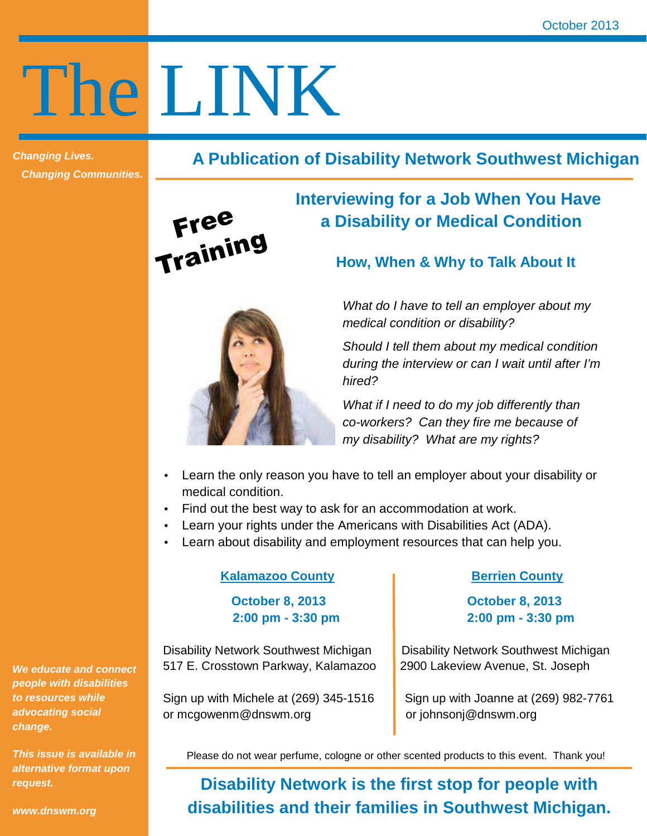# The LINK

**Changing Lives. Changing Communities.** 

# **A Publication of Disability Network Southwest Michigan**

Free Training

# **Interviewing for a Job When You Have a Disability or Medical Condition**

### **How, When & Why to Talk About It**



What do I have to tell an employer about my medical condition or disability?

Should I tell them about my medical condition during the interview or can I wait until after I'm hired?

What if I need to do my job differently than co-workers? Can they fire me because of my disability? What are my rights?

- Learn the only reason you have to tell an employer about your disability or medical condition.
- Find out the best way to ask for an accommodation at work.
- Learn your rights under the Americans with Disabilities Act (ADA).
- Learn about disability and employment resources that can help you.

#### **Kalamazoo County Fig. 1 Berrien County**

**October 8, 2013 October 8, 2013** 

Disability Network Southwest MichiganDisability Network Southwest Michigan 517 E. Crosstown Parkway, Kalamazoo 2900 Lakeview Avenue, St. Joseph

Sign up with Michele at  $(269)$  345-1516  $\blacksquare$  Sign up with Joanne at  $(269)$  982-7761 or mcgowenm@dnswm.org **or information** or johnsonj@dnswm.org

 **2:00 pm - 3:30 pm 2:00 pm - 3:30 pm** 

Please do not wear perfume, cologne or other scented products to this event. Thank you!

**Disability Network is the first stop for people with disabilities and their families in Southwest Michigan.** 

**We educate and connect people with disabilities to resources while advocating social change.** 

**This issue is available in alternative format upon request.**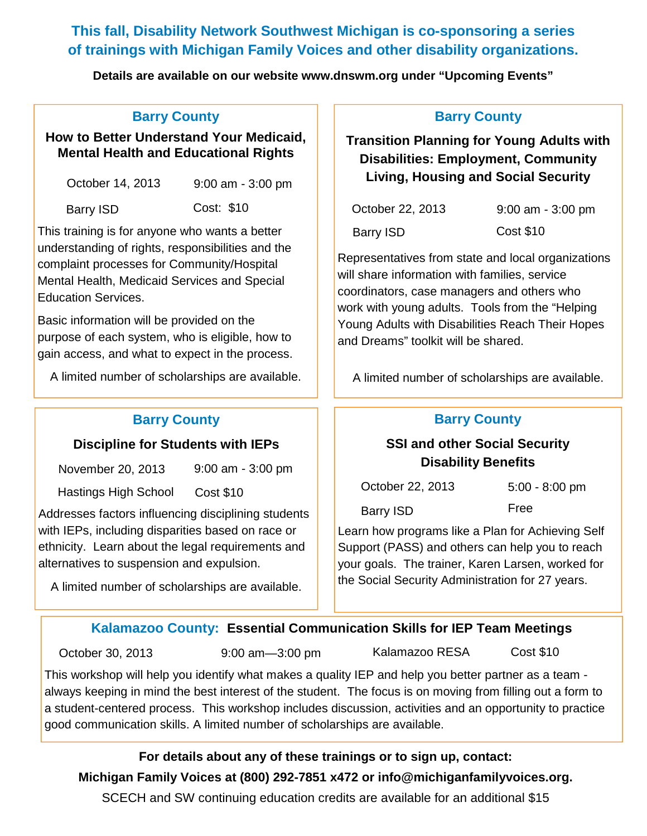### **This fall, Disability Network Southwest Michigan is co-sponsoring a series of trainings with Michigan Family Voices and other disability organizations.**

**Details are available on our website www.dnswm.org under "Upcoming Events"**

#### **Barry County**

#### **How to Better Understand Your Medicaid, Mental Health and Educational Rights**

| October 14, 2013 | $9:00$ am - 3:00 pm                             |
|------------------|-------------------------------------------------|
| <b>D.L.JOD</b>   | $C_{\Omega}$ $\sim$ $\sim$ $\sim$ $\sim$ $\sim$ |

This training is for anyone who wants a better understanding of rights, responsibilities and the complaint processes for Community/Hospital Mental Health, Medicaid Services and Special Education Services.

Basic information will be provided on the purpose of each system, who is eligible, how to gain access, and what to expect in the process.

A limited number of scholarships are available.

#### **Barry County**

#### **Discipline for Students with IEPs**

November 20, 2013 9:00 am - 3:00 pm

Hastings High School Cost \$10

Addresses factors influencing disciplining students with IEPs, including disparities based on race or ethnicity. Learn about the legal requirements and alternatives to suspension and expulsion.

A limited number of scholarships are available.

#### **Barry County**

**Transition Planning for Young Adults with Disabilities: Employment, Community Living, Housing and Social Security** 

| Barry ISD                                | Cost: \$10 | October 22, 2013 | $9:00$ am $-3:00$ pm |
|------------------------------------------|------------|------------------|----------------------|
| raining is for anyone who wants a better |            | <b>Barry ISD</b> | <b>Cost \$10</b>     |

Representatives from state and local organizations will share information with families, service coordinators, case managers and others who work with young adults. Tools from the "Helping Young Adults with Disabilities Reach Their Hopes and Dreams" toolkit will be shared.

A limited number of scholarships are available.

#### **Barry County**

#### **SSI and other Social Security Disability Benefits**

| October 22, 2013 | $5:00 - 8:00$ pm |
|------------------|------------------|
| Barry ISD        | Free             |

Learn how programs like a Plan for Achieving Self Support (PASS) and others can help you to reach your goals. The trainer, Karen Larsen, worked for the Social Security Administration for 27 years.

#### **Kalamazoo County: Essential Communication Skills for IEP Team Meetings**

October 30, 2013 9:00 am—3:00 pm Kalamazoo RESA Cost \$10

This workshop will help you identify what makes a quality IEP and help you better partner as a team always keeping in mind the best interest of the student. The focus is on moving from filling out a form to a student-centered process. This workshop includes discussion, activities and an opportunity to practice good communication skills. A limited number of scholarships are available.

# **For details about any of these trainings or to sign up, contact: Michigan Family Voices at (800) 292-7851 x472 or info@michiganfamilyvoices.org.**

SCECH and SW continuing education credits are available for an additional \$15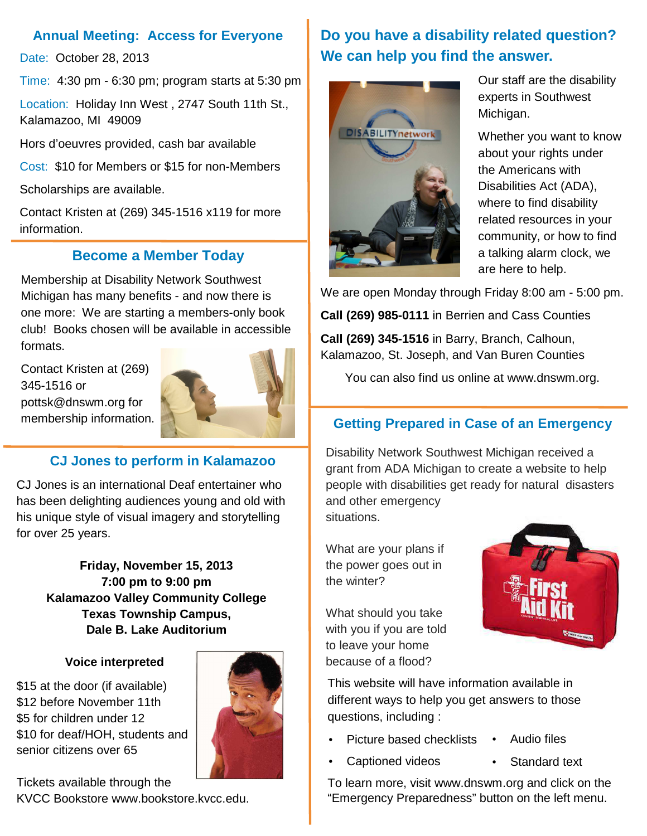#### **Annual Meeting: Access for Everyone**

Date: October 28, 2013

Time: 4:30 pm - 6:30 pm; program starts at 5:30 pm

Location: Holiday Inn West , 2747 South 11th St., Kalamazoo, MI 49009

Hors d'oeuvres provided, cash bar available

Cost: \$10 for Members or \$15 for non-Members

Scholarships are available.

Contact Kristen at (269) 345-1516 x119 for more information.

#### **Become a Member Today**

Membership at Disability Network Southwest Michigan has many benefits - and now there is one more: We are starting a members-only book club! Books chosen will be available in accessible formats.

Contact Kristen at (269) 345-1516 or pottsk@dnswm.org for membership information.



#### **CJ Jones to perform in Kalamazoo**

CJ Jones is an international Deaf entertainer who has been delighting audiences young and old with his unique style of visual imagery and storytelling for over 25 years.

> **Friday, November 15, 2013 7:00 pm to 9:00 pm Kalamazoo Valley Community College Texas Township Campus, Dale B. Lake Auditorium**

#### **Voice interpreted**

\$15 at the door (if available) \$12 before November 11th \$5 for children under 12 \$10 for deaf/HOH, students and senior citizens over 65



#### Tickets available through the KVCC Bookstore www.bookstore.kvcc.edu.

# **Do you have a disability related question? We can help you find the answer.**



Our staff are the disability experts in Southwest Michigan.

Whether you want to know about your rights under the Americans with Disabilities Act (ADA), where to find disability related resources in your community, or how to find a talking alarm clock, we are here to help.

We are open Monday through Friday 8:00 am - 5:00 pm.

**Call (269) 985-0111** in Berrien and Cass Counties

**Call (269) 345-1516** in Barry, Branch, Calhoun, Kalamazoo, St. Joseph, and Van Buren Counties

You can also find us online at www.dnswm.org.

## **Getting Prepared in Case of an Emergency**

Disability Network Southwest Michigan received a grant from ADA Michigan to create a website to help people with disabilities get ready for natural disasters and other emergency

situations.

What are your plans if the power goes out in the winter?

What should you take with you if you are told to leave your home because of a flood?



This website will have information available in different ways to help you get answers to those questions, including :

- Picture based checklists
- Captioned videos
- Audio files
- Standard text

To learn more, visit www.dnswm.org and click on the "Emergency Preparedness" button on the left menu.